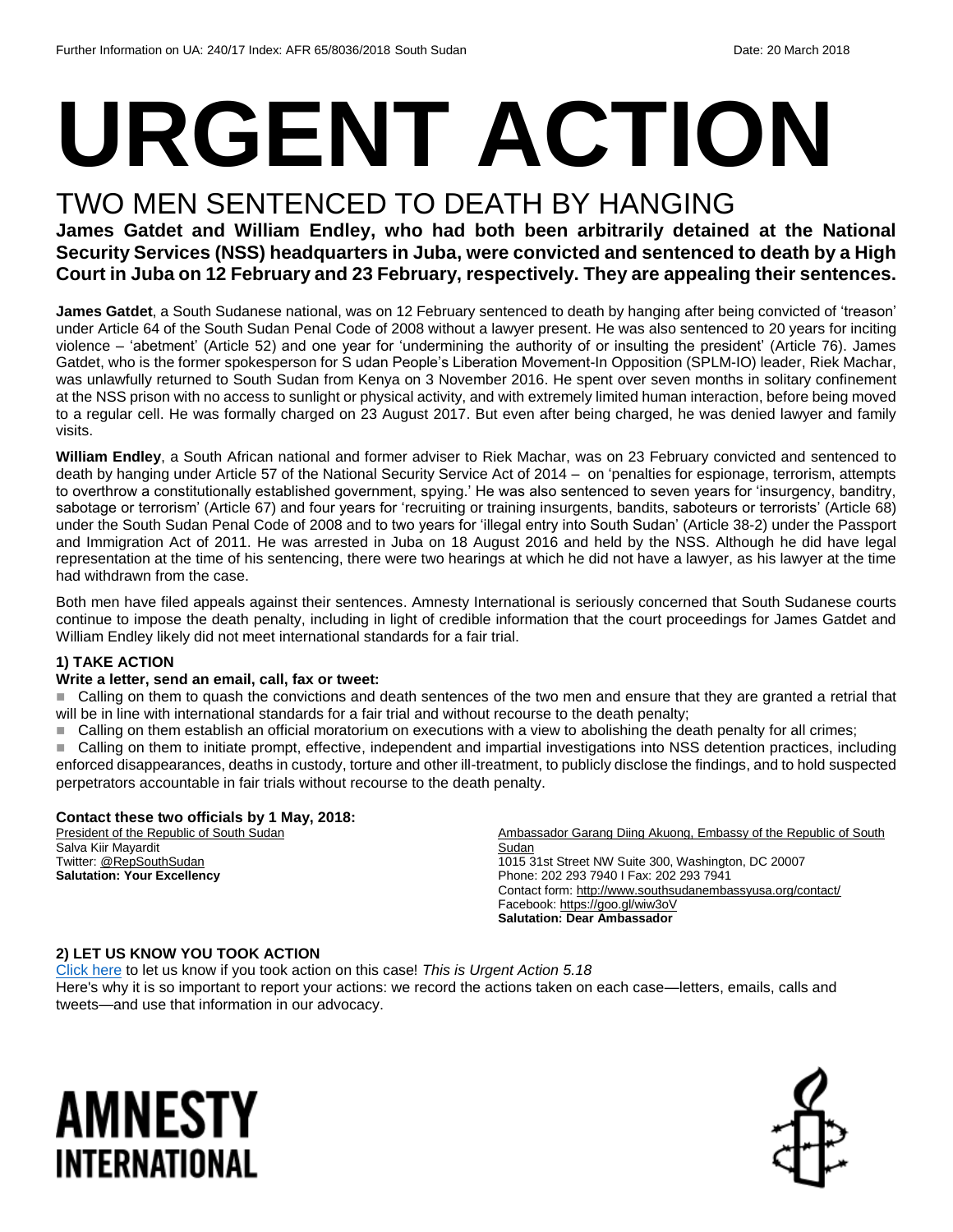# **URGENT ACTION**

### TWO MEN SENTENCED TO DEATH BY HANGING

**James Gatdet and William Endley, who had both been arbitrarily detained at the National Security Services (NSS) headquarters in Juba, were convicted and sentenced to death by a High Court in Juba on 12 February and 23 February, respectively. They are appealing their sentences.**

**James Gatdet**, a South Sudanese national, was on 12 February sentenced to death by hanging after being convicted of 'treason' under Article 64 of the South Sudan Penal Code of 2008 without a lawyer present. He was also sentenced to 20 years for inciting violence – 'abetment' (Article 52) and one year for 'undermining the authority of or insulting the president' (Article 76). James Gatdet, who is the former spokesperson for S udan People's Liberation Movement-In Opposition (SPLM-IO) leader, Riek Machar, was unlawfully returned to South Sudan from Kenya on 3 November 2016. He spent over seven months in solitary confinement at the NSS prison with no access to sunlight or physical activity, and with extremely limited human interaction, before being moved to a regular cell. He was formally charged on 23 August 2017. But even after being charged, he was denied lawyer and family visits.

**William Endley**, a South African national and former adviser to Riek Machar, was on 23 February convicted and sentenced to death by hanging under Article 57 of the National Security Service Act of 2014 – on 'penalties for espionage, terrorism, attempts to overthrow a constitutionally established government, spying.' He was also sentenced to seven years for 'insurgency, banditry, sabotage or terrorism' (Article 67) and four years for 'recruiting or training insurgents, bandits, saboteurs or terrorists' (Article 68) under the South Sudan Penal Code of 2008 and to two years for 'illegal entry into South Sudan' (Article 38-2) under the Passport and Immigration Act of 2011. He was arrested in Juba on 18 August 2016 and held by the NSS. Although he did have legal representation at the time of his sentencing, there were two hearings at which he did not have a lawyer, as his lawyer at the time had withdrawn from the case.

Both men have filed appeals against their sentences. Amnesty International is seriously concerned that South Sudanese courts continue to impose the death penalty, including in light of credible information that the court proceedings for James Gatdet and William Endley likely did not meet international standards for a fair trial.

#### **1) TAKE ACTION**

#### **Write a letter, send an email, call, fax or tweet:**

■ Calling on them to quash the convictions and death sentences of the two men and ensure that they are granted a retrial that will be in line with international standards for a fair trial and without recourse to the death penalty;

Calling on them establish an official moratorium on executions with a view to abolishing the death penalty for all crimes;

 Calling on them to initiate prompt, effective, independent and impartial investigations into NSS detention practices, including enforced disappearances, deaths in custody, torture and other ill-treatment, to publicly disclose the findings, and to hold suspected perpetrators accountable in fair trials without recourse to the death penalty.

#### **Contact these two officials by 1 May, 2018:**

President of the Republic of South Sudan Salva Kiir Mayardit Twitter[: @RepSouthSudan](file:///C:/Users/iar3team/AppData/Local/Microsoft/Windows/INetCache/Content.Outlook/47QF1R6R/twitter.com/RepSouthSudan) **Salutation: Your Excellency**

Ambassador Garang Diing Akuong, Embassy of the Republic of South Sudan 1015 31st Street NW Suite 300, Washington, DC 20007 Phone: 202 293 7940 I Fax: 202 293 7941 Contact form[: http://www.southsudanembassyusa.org/contact/](http://www.southsudanembassyusa.org/contact/) Facebook[: https://goo.gl/wiw3oV](https://goo.gl/wiw3oV) **Salutation: Dear Ambassador**

#### **2) LET US KNOW YOU TOOK ACTION**

[Click here](https://www.amnestyusa.org/report-urgent-actions/) to let us know if you took action on this case! *This is Urgent Action 5.18*  Here's why it is so important to report your actions: we record the actions taken on each case—letters, emails, calls and tweets—and use that information in our advocacy.

## AMNESTY INTERNATIONAL